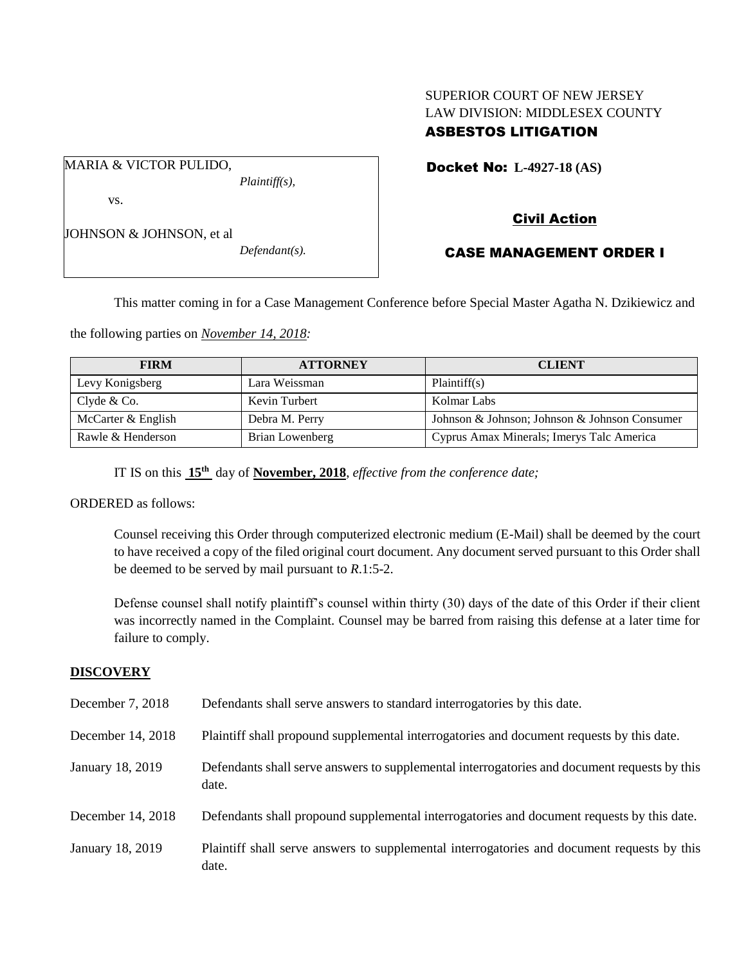# SUPERIOR COURT OF NEW JERSEY LAW DIVISION: MIDDLESEX COUNTY ASBESTOS LITIGATION

Docket No: **L-4927-18 (AS)** 

vs.

JOHNSON & JOHNSON, et al

MARIA & VICTOR PULIDO,

*Defendant(s).*

*Plaintiff(s),*

# Civil Action

## CASE MANAGEMENT ORDER I

This matter coming in for a Case Management Conference before Special Master Agatha N. Dzikiewicz and

the following parties on *November 14, 2018:*

| <b>FIRM</b>        | <b>ATTORNEY</b> | <b>CLIENT</b>                                 |
|--------------------|-----------------|-----------------------------------------------|
| Levy Konigsberg    | Lara Weissman   | Plaintiff(s)                                  |
| Clyde & Co.        | Kevin Turbert   | Kolmar Labs                                   |
| McCarter & English | Debra M. Perry  | Johnson & Johnson; Johnson & Johnson Consumer |
| Rawle & Henderson  | Brian Lowenberg | Cyprus Amax Minerals; Imerys Talc America     |

IT IS on this **15th** day of **November, 2018**, *effective from the conference date;*

ORDERED as follows:

Counsel receiving this Order through computerized electronic medium (E-Mail) shall be deemed by the court to have received a copy of the filed original court document. Any document served pursuant to this Order shall be deemed to be served by mail pursuant to *R*.1:5-2.

Defense counsel shall notify plaintiff's counsel within thirty (30) days of the date of this Order if their client was incorrectly named in the Complaint. Counsel may be barred from raising this defense at a later time for failure to comply.

#### **DISCOVERY**

| December 7, 2018  | Defendants shall serve answers to standard interrogatories by this date.                              |
|-------------------|-------------------------------------------------------------------------------------------------------|
| December 14, 2018 | Plaintiff shall propound supplemental interrogatories and document requests by this date.             |
| January 18, 2019  | Defendants shall serve answers to supplemental interrogatories and document requests by this<br>date. |
| December 14, 2018 | Defendants shall propound supplemental interrogatories and document requests by this date.            |
| January 18, 2019  | Plaintiff shall serve answers to supplemental interrogatories and document requests by this<br>date.  |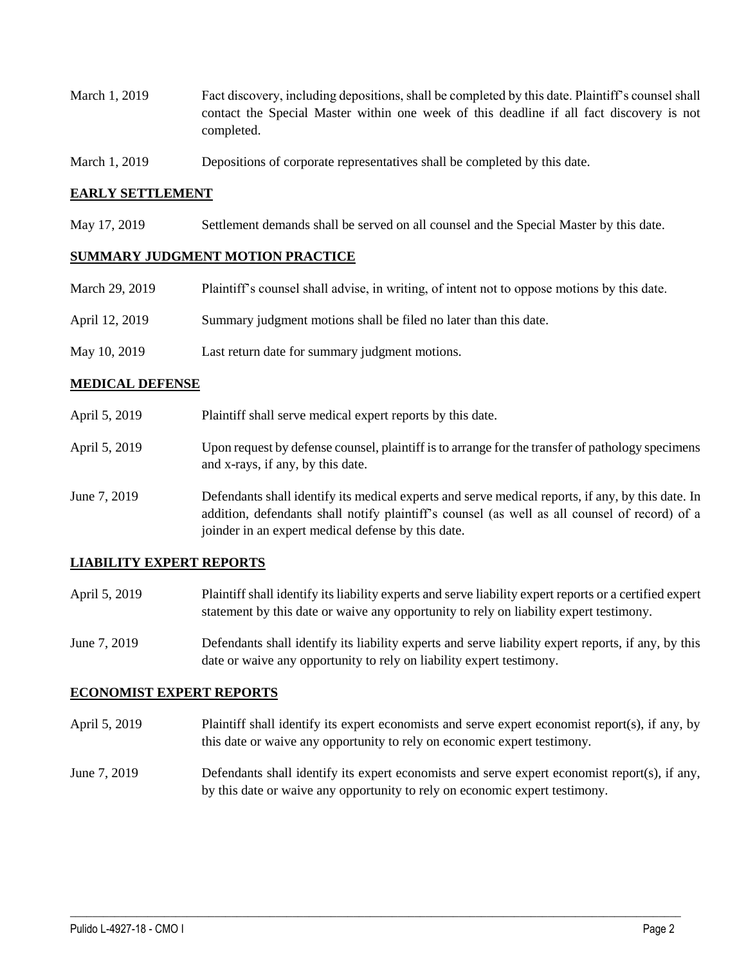- March 1, 2019 Fact discovery, including depositions, shall be completed by this date. Plaintiff's counsel shall contact the Special Master within one week of this deadline if all fact discovery is not completed.
- March 1, 2019 Depositions of corporate representatives shall be completed by this date.

#### **EARLY SETTLEMENT**

May 17, 2019 Settlement demands shall be served on all counsel and the Special Master by this date.

#### **SUMMARY JUDGMENT MOTION PRACTICE**

| March 29, 2019 | Plaintiff's counsel shall advise, in writing, of intent not to oppose motions by this date. |
|----------------|---------------------------------------------------------------------------------------------|
| April 12, 2019 | Summary judgment motions shall be filed no later than this date.                            |
| May 10, 2019   | Last return date for summary judgment motions.                                              |

#### **MEDICAL DEFENSE**

- April 5, 2019 Plaintiff shall serve medical expert reports by this date.
- April 5, 2019 Upon request by defense counsel, plaintiff is to arrange for the transfer of pathology specimens and x-rays, if any, by this date.
- June 7, 2019 Defendants shall identify its medical experts and serve medical reports, if any, by this date. In addition, defendants shall notify plaintiff's counsel (as well as all counsel of record) of a joinder in an expert medical defense by this date.

#### **LIABILITY EXPERT REPORTS**

- April 5, 2019 Plaintiff shall identify its liability experts and serve liability expert reports or a certified expert statement by this date or waive any opportunity to rely on liability expert testimony.
- June 7, 2019 Defendants shall identify its liability experts and serve liability expert reports, if any, by this date or waive any opportunity to rely on liability expert testimony.

## **ECONOMIST EXPERT REPORTS**

- April 5, 2019 Plaintiff shall identify its expert economists and serve expert economist report(s), if any, by this date or waive any opportunity to rely on economic expert testimony.
- June 7, 2019 Defendants shall identify its expert economists and serve expert economist report(s), if any, by this date or waive any opportunity to rely on economic expert testimony.

 $\_$  ,  $\_$  ,  $\_$  ,  $\_$  ,  $\_$  ,  $\_$  ,  $\_$  ,  $\_$  ,  $\_$  ,  $\_$  ,  $\_$  ,  $\_$  ,  $\_$  ,  $\_$  ,  $\_$  ,  $\_$  ,  $\_$  ,  $\_$  ,  $\_$  ,  $\_$  ,  $\_$  ,  $\_$  ,  $\_$  ,  $\_$  ,  $\_$  ,  $\_$  ,  $\_$  ,  $\_$  ,  $\_$  ,  $\_$  ,  $\_$  ,  $\_$  ,  $\_$  ,  $\_$  ,  $\_$  ,  $\_$  ,  $\_$  ,